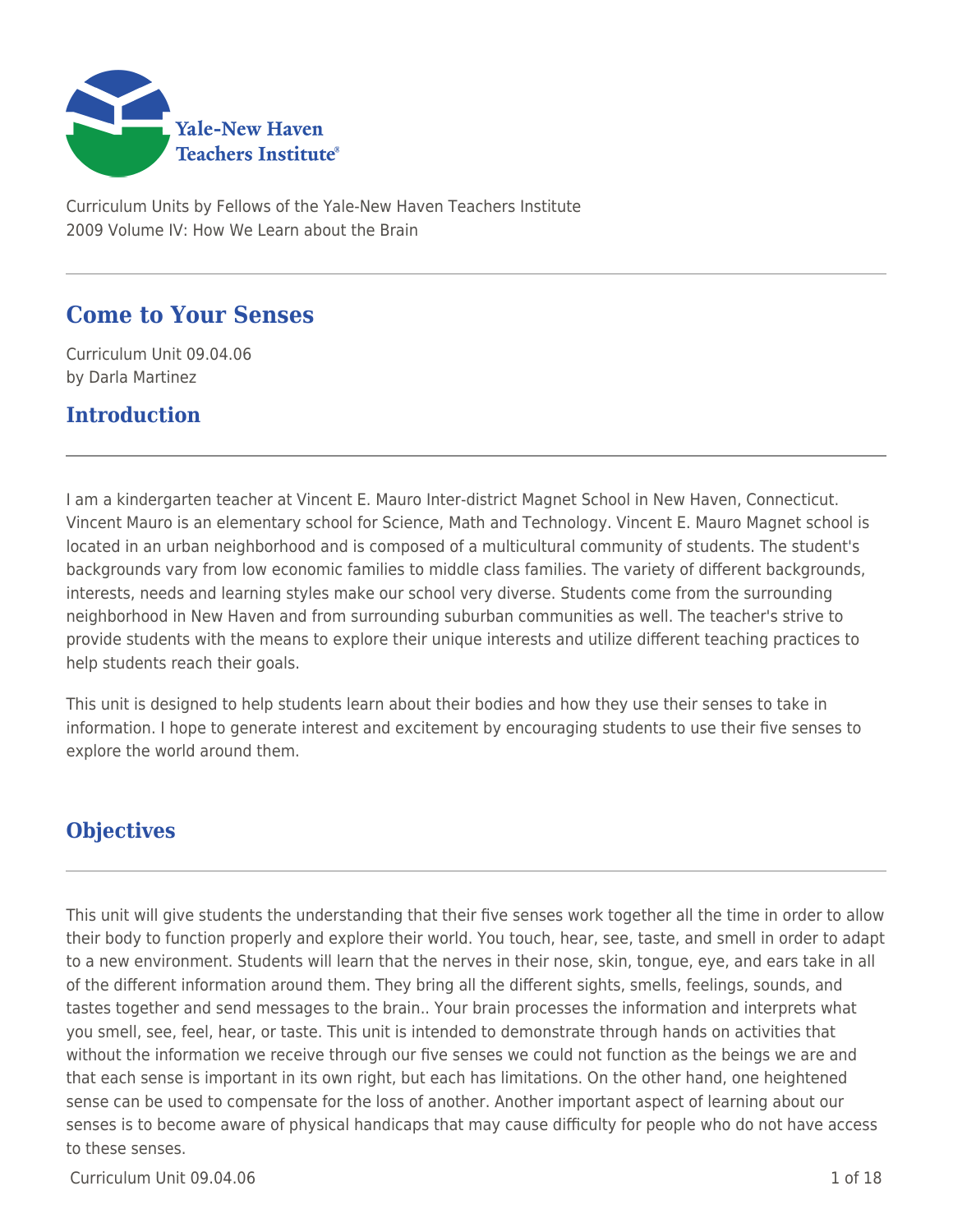

Curriculum Units by Fellows of the Yale-New Haven Teachers Institute 2009 Volume IV: How We Learn about the Brain

# **Come to Your Senses**

Curriculum Unit 09.04.06 by Darla Martinez

# **Introduction**

I am a kindergarten teacher at Vincent E. Mauro Inter-district Magnet School in New Haven, Connecticut. Vincent Mauro is an elementary school for Science, Math and Technology. Vincent E. Mauro Magnet school is located in an urban neighborhood and is composed of a multicultural community of students. The student's backgrounds vary from low economic families to middle class families. The variety of different backgrounds, interests, needs and learning styles make our school very diverse. Students come from the surrounding neighborhood in New Haven and from surrounding suburban communities as well. The teacher's strive to provide students with the means to explore their unique interests and utilize different teaching practices to help students reach their goals.

This unit is designed to help students learn about their bodies and how they use their senses to take in information. I hope to generate interest and excitement by encouraging students to use their five senses to explore the world around them.

# **Objectives**

This unit will give students the understanding that their five senses work together all the time in order to allow their body to function properly and explore their world. You touch, hear, see, taste, and smell in order to adapt to a new environment. Students will learn that the nerves in their nose, skin, tongue, eye, and ears take in all of the different information around them. They bring all the different sights, smells, feelings, sounds, and tastes together and send messages to the brain.. Your brain processes the information and interprets what you smell, see, feel, hear, or taste. This unit is intended to demonstrate through hands on activities that without the information we receive through our five senses we could not function as the beings we are and that each sense is important in its own right, but each has limitations. On the other hand, one heightened sense can be used to compensate for the loss of another. Another important aspect of learning about our senses is to become aware of physical handicaps that may cause difficulty for people who do not have access to these senses.

 $C$ urriculum Unit 09.04.06 1 of 18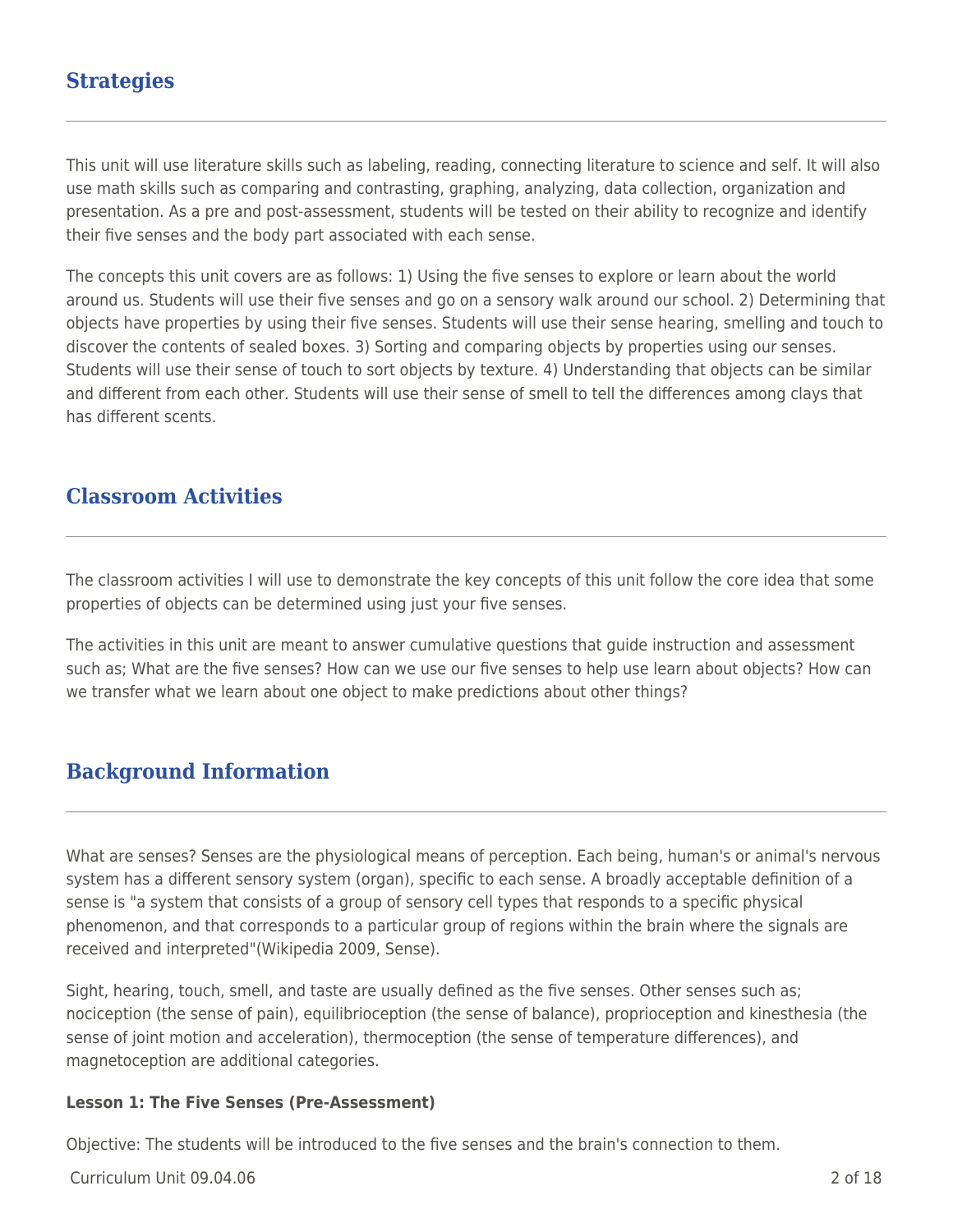# **Strategies**

This unit will use literature skills such as labeling, reading, connecting literature to science and self. It will also use math skills such as comparing and contrasting, graphing, analyzing, data collection, organization and presentation. As a pre and post-assessment, students will be tested on their ability to recognize and identify their five senses and the body part associated with each sense.

The concepts this unit covers are as follows: 1) Using the five senses to explore or learn about the world around us. Students will use their five senses and go on a sensory walk around our school. 2) Determining that objects have properties by using their five senses. Students will use their sense hearing, smelling and touch to discover the contents of sealed boxes. 3) Sorting and comparing objects by properties using our senses. Students will use their sense of touch to sort objects by texture. 4) Understanding that objects can be similar and different from each other. Students will use their sense of smell to tell the differences among clays that has different scents.

## **Classroom Activities**

The classroom activities I will use to demonstrate the key concepts of this unit follow the core idea that some properties of objects can be determined using just your five senses.

The activities in this unit are meant to answer cumulative questions that guide instruction and assessment such as; What are the five senses? How can we use our five senses to help use learn about objects? How can we transfer what we learn about one object to make predictions about other things?

## **Background Information**

What are senses? Senses are the physiological means of perception. Each being, human's or animal's nervous system has a different sensory system (organ), specific to each sense. A broadly acceptable definition of a sense is "a system that consists of a group of sensory cell types that responds to a specific physical phenomenon, and that corresponds to a particular group of regions within the brain where the signals are received and interpreted"(Wikipedia 2009, Sense).

Sight, hearing, touch, smell, and taste are usually defined as the five senses. Other senses such as; nociception (the sense of pain), equilibrioception (the sense of balance), proprioception and kinesthesia (the sense of joint motion and acceleration), thermoception (the sense of temperature differences), and magnetoception are additional categories.

#### **Lesson 1: The Five Senses (Pre-Assessment)**

Objective: The students will be introduced to the five senses and the brain's connection to them.

Curriculum Unit 09.04.06 2 of 18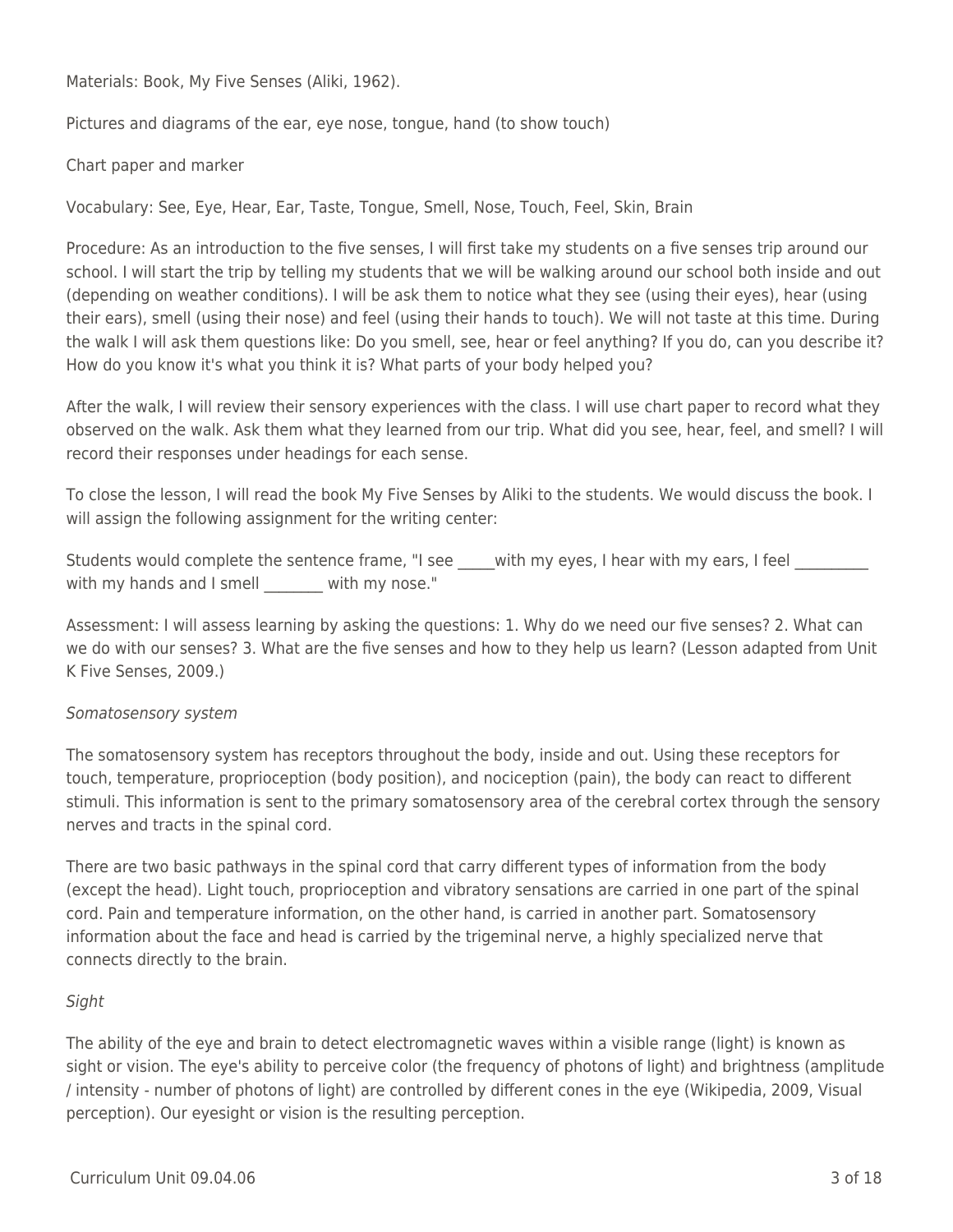Materials: Book, My Five Senses (Aliki, 1962).

Pictures and diagrams of the ear, eye nose, tongue, hand (to show touch)

Chart paper and marker

Vocabulary: See, Eye, Hear, Ear, Taste, Tongue, Smell, Nose, Touch, Feel, Skin, Brain

Procedure: As an introduction to the five senses, I will first take my students on a five senses trip around our school. I will start the trip by telling my students that we will be walking around our school both inside and out (depending on weather conditions). I will be ask them to notice what they see (using their eyes), hear (using their ears), smell (using their nose) and feel (using their hands to touch). We will not taste at this time. During the walk I will ask them questions like: Do you smell, see, hear or feel anything? If you do, can you describe it? How do you know it's what you think it is? What parts of your body helped you?

After the walk, I will review their sensory experiences with the class. I will use chart paper to record what they observed on the walk. Ask them what they learned from our trip. What did you see, hear, feel, and smell? I will record their responses under headings for each sense.

To close the lesson, I will read the book My Five Senses by Aliki to the students. We would discuss the book. I will assign the following assignment for the writing center:

Students would complete the sentence frame, "I see \_\_\_\_\_with my eyes, I hear with my ears, I feel with my hands and I smell with my nose."

Assessment: I will assess learning by asking the questions: 1. Why do we need our five senses? 2. What can we do with our senses? 3. What are the five senses and how to they help us learn? (Lesson adapted from Unit K Five Senses, 2009.)

#### Somatosensory system

The somatosensory system has receptors throughout the body, inside and out. Using these receptors for touch, temperature, proprioception (body position), and nociception (pain), the body can react to different stimuli. This information is sent to the primary somatosensory area of the cerebral cortex through the sensory nerves and tracts in the spinal cord.

There are two basic pathways in the spinal cord that carry different types of information from the body (except the head). Light touch, proprioception and vibratory sensations are carried in one part of the spinal cord. Pain and temperature information, on the other hand, is carried in another part. Somatosensory information about the face and head is carried by the trigeminal nerve, a highly specialized nerve that connects directly to the brain.

#### Sight

The ability of the eye and brain to detect electromagnetic waves within a visible range (light) is known as sight or vision. The eye's ability to perceive color (the frequency of photons of light) and brightness (amplitude / intensity - number of photons of light) are controlled by different cones in the eye (Wikipedia, 2009, Visual perception). Our eyesight or vision is the resulting perception.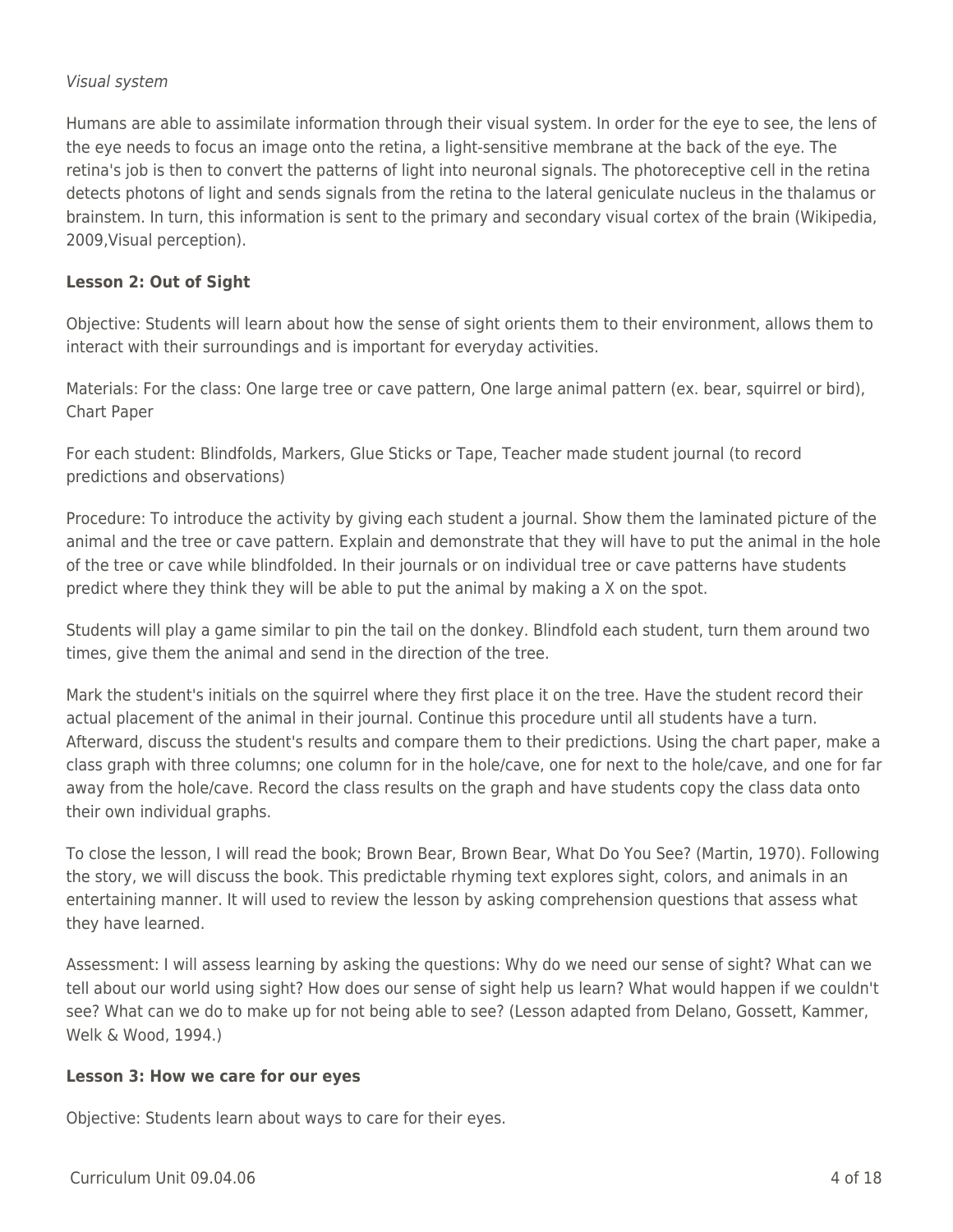#### Visual system

Humans are able to assimilate information through their visual system. In order for the eye to see, the lens of the eye needs to focus an image onto the retina, a light-sensitive membrane at the back of the eye. The retina's job is then to convert the patterns of light into neuronal signals. The photoreceptive cell in the retina detects photons of light and sends signals from the retina to the lateral geniculate nucleus in the thalamus or brainstem. In turn, this information is sent to the primary and secondary visual cortex of the brain (Wikipedia, 2009,Visual perception).

#### **Lesson 2: Out of Sight**

Objective: Students will learn about how the sense of sight orients them to their environment, allows them to interact with their surroundings and is important for everyday activities.

Materials: For the class: One large tree or cave pattern, One large animal pattern (ex. bear, squirrel or bird), Chart Paper

For each student: Blindfolds, Markers, Glue Sticks or Tape, Teacher made student journal (to record predictions and observations)

Procedure: To introduce the activity by giving each student a journal. Show them the laminated picture of the animal and the tree or cave pattern. Explain and demonstrate that they will have to put the animal in the hole of the tree or cave while blindfolded. In their journals or on individual tree or cave patterns have students predict where they think they will be able to put the animal by making a X on the spot.

Students will play a game similar to pin the tail on the donkey. Blindfold each student, turn them around two times, give them the animal and send in the direction of the tree.

Mark the student's initials on the squirrel where they first place it on the tree. Have the student record their actual placement of the animal in their journal. Continue this procedure until all students have a turn. Afterward, discuss the student's results and compare them to their predictions. Using the chart paper, make a class graph with three columns; one column for in the hole/cave, one for next to the hole/cave, and one for far away from the hole/cave. Record the class results on the graph and have students copy the class data onto their own individual graphs.

To close the lesson, I will read the book; Brown Bear, Brown Bear, What Do You See? (Martin, 1970). Following the story, we will discuss the book. This predictable rhyming text explores sight, colors, and animals in an entertaining manner. It will used to review the lesson by asking comprehension questions that assess what they have learned.

Assessment: I will assess learning by asking the questions: Why do we need our sense of sight? What can we tell about our world using sight? How does our sense of sight help us learn? What would happen if we couldn't see? What can we do to make up for not being able to see? (Lesson adapted from Delano, Gossett, Kammer, Welk & Wood, 1994.)

#### **Lesson 3: How we care for our eyes**

Objective: Students learn about ways to care for their eyes.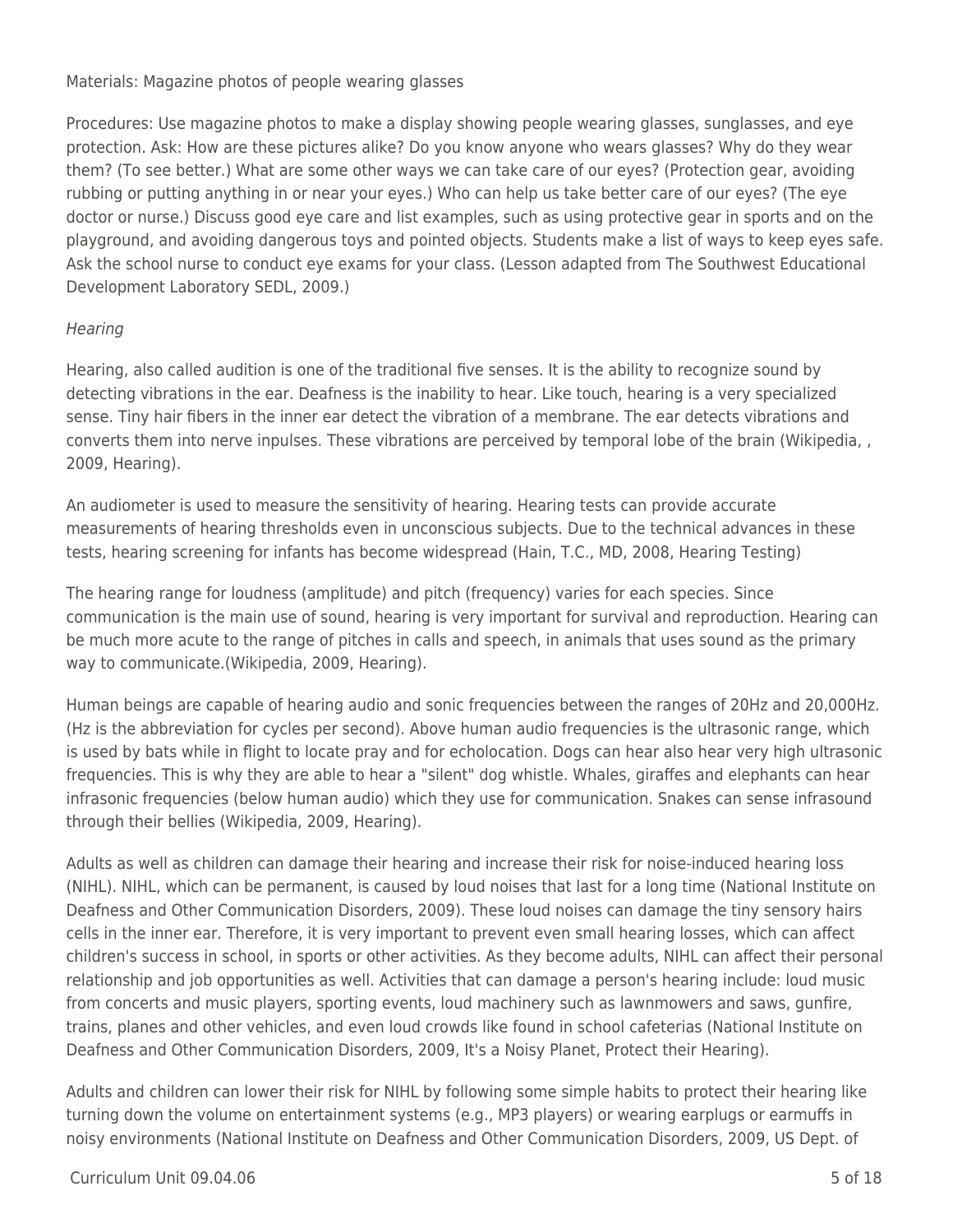Materials: Magazine photos of people wearing glasses

Procedures: Use magazine photos to make a display showing people wearing glasses, sunglasses, and eye protection. Ask: How are these pictures alike? Do you know anyone who wears glasses? Why do they wear them? (To see better.) What are some other ways we can take care of our eyes? (Protection gear, avoiding rubbing or putting anything in or near your eyes.) Who can help us take better care of our eyes? (The eye doctor or nurse.) Discuss good eye care and list examples, such as using protective gear in sports and on the playground, and avoiding dangerous toys and pointed objects. Students make a list of ways to keep eyes safe. Ask the school nurse to conduct eye exams for your class. (Lesson adapted from The Southwest Educational Development Laboratory SEDL, 2009.)

### **Hearing**

Hearing, also called audition is one of the traditional five senses. It is the ability to recognize sound by detecting vibrations in the ear. Deafness is the inability to hear. Like touch, hearing is a very specialized sense. Tiny hair fibers in the inner ear detect the vibration of a membrane. The ear detects vibrations and converts them into nerve inpulses. These vibrations are perceived by temporal lobe of the brain (Wikipedia, , 2009, Hearing).

An audiometer is used to measure the sensitivity of hearing. Hearing tests can provide accurate measurements of hearing thresholds even in unconscious subjects. Due to the technical advances in these tests, hearing screening for infants has become widespread (Hain, T.C., MD, 2008, Hearing Testing)

The hearing range for loudness (amplitude) and pitch (frequency) varies for each species. Since communication is the main use of sound, hearing is very important for survival and reproduction. Hearing can be much more acute to the range of pitches in calls and speech, in animals that uses sound as the primary way to communicate.(Wikipedia, 2009, Hearing).

Human beings are capable of hearing audio and sonic frequencies between the ranges of 20Hz and 20,000Hz. (Hz is the abbreviation for cycles per second). Above human audio frequencies is the ultrasonic range, which is used by bats while in flight to locate pray and for echolocation. Dogs can hear also hear very high ultrasonic frequencies. This is why they are able to hear a "silent" dog whistle. Whales, giraffes and elephants can hear infrasonic frequencies (below human audio) which they use for communication. Snakes can sense infrasound through their bellies (Wikipedia, 2009, Hearing).

Adults as well as children can damage their hearing and increase their risk for noise-induced hearing loss (NIHL). NIHL, which can be permanent, is caused by loud noises that last for a long time (National Institute on Deafness and Other Communication Disorders, 2009). These loud noises can damage the tiny sensory hairs cells in the inner ear. Therefore, it is very important to prevent even small hearing losses, which can affect children's success in school, in sports or other activities. As they become adults, NIHL can affect their personal relationship and job opportunities as well. Activities that can damage a person's hearing include: loud music from concerts and music players, sporting events, loud machinery such as lawnmowers and saws, gunfire, trains, planes and other vehicles, and even loud crowds like found in school cafeterias (National Institute on Deafness and Other Communication Disorders, 2009, It's a Noisy Planet, Protect their Hearing).

Adults and children can lower their risk for NIHL by following some simple habits to protect their hearing like turning down the volume on entertainment systems (e.g., MP3 players) or wearing earplugs or earmuffs in noisy environments (National Institute on Deafness and Other Communication Disorders, 2009, US Dept. of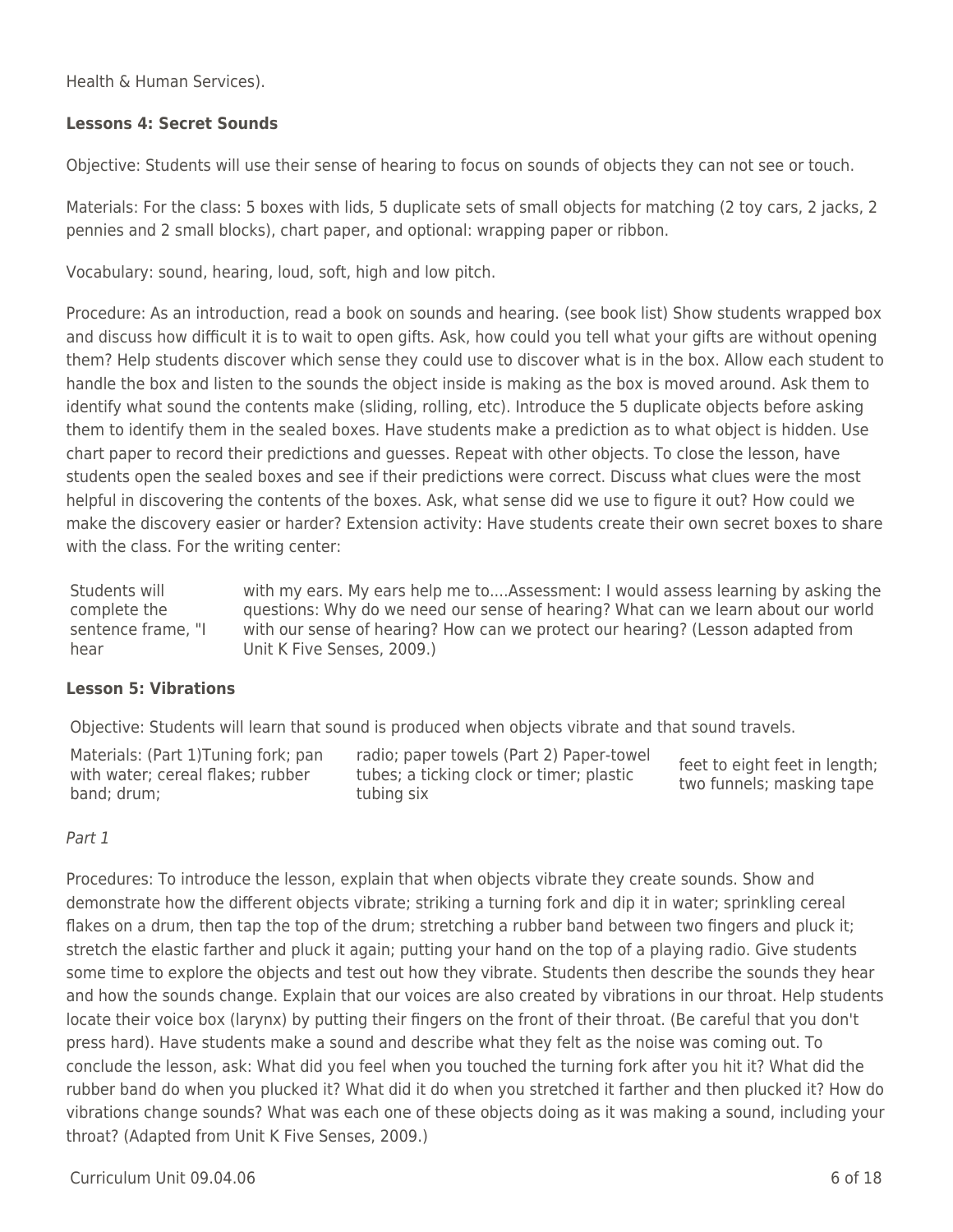Health & Human Services).

#### **Lessons 4: Secret Sounds**

Objective: Students will use their sense of hearing to focus on sounds of objects they can not see or touch.

Materials: For the class: 5 boxes with lids, 5 duplicate sets of small objects for matching (2 toy cars, 2 jacks, 2 pennies and 2 small blocks), chart paper, and optional: wrapping paper or ribbon.

Vocabulary: sound, hearing, loud, soft, high and low pitch.

Procedure: As an introduction, read a book on sounds and hearing. (see book list) Show students wrapped box and discuss how difficult it is to wait to open gifts. Ask, how could you tell what your gifts are without opening them? Help students discover which sense they could use to discover what is in the box. Allow each student to handle the box and listen to the sounds the object inside is making as the box is moved around. Ask them to identify what sound the contents make (sliding, rolling, etc). Introduce the 5 duplicate objects before asking them to identify them in the sealed boxes. Have students make a prediction as to what object is hidden. Use chart paper to record their predictions and guesses. Repeat with other objects. To close the lesson, have students open the sealed boxes and see if their predictions were correct. Discuss what clues were the most helpful in discovering the contents of the boxes. Ask, what sense did we use to figure it out? How could we make the discovery easier or harder? Extension activity: Have students create their own secret boxes to share with the class. For the writing center:

Students will complete the sentence frame, "I hear with my ears. My ears help me to....Assessment: I would assess learning by asking the questions: Why do we need our sense of hearing? What can we learn about our world with our sense of hearing? How can we protect our hearing? (Lesson adapted from Unit K Five Senses, 2009.)

#### **Lesson 5: Vibrations**

Objective: Students will learn that sound is produced when objects vibrate and that sound travels.

Materials: (Part 1)Tuning fork; pan with water; cereal flakes; rubber band; drum; radio; paper towels (Part 2) Paper-towel tubes; a ticking clock or timer; plastic tubing six feet to eight feet in length; two funnels; masking tape

#### Part 1

Procedures: To introduce the lesson, explain that when objects vibrate they create sounds. Show and demonstrate how the different objects vibrate; striking a turning fork and dip it in water; sprinkling cereal flakes on a drum, then tap the top of the drum; stretching a rubber band between two fingers and pluck it; stretch the elastic farther and pluck it again; putting your hand on the top of a playing radio. Give students some time to explore the objects and test out how they vibrate. Students then describe the sounds they hear and how the sounds change. Explain that our voices are also created by vibrations in our throat. Help students locate their voice box (larynx) by putting their fingers on the front of their throat. (Be careful that you don't press hard). Have students make a sound and describe what they felt as the noise was coming out. To conclude the lesson, ask: What did you feel when you touched the turning fork after you hit it? What did the rubber band do when you plucked it? What did it do when you stretched it farther and then plucked it? How do vibrations change sounds? What was each one of these objects doing as it was making a sound, including your throat? (Adapted from Unit K Five Senses, 2009.)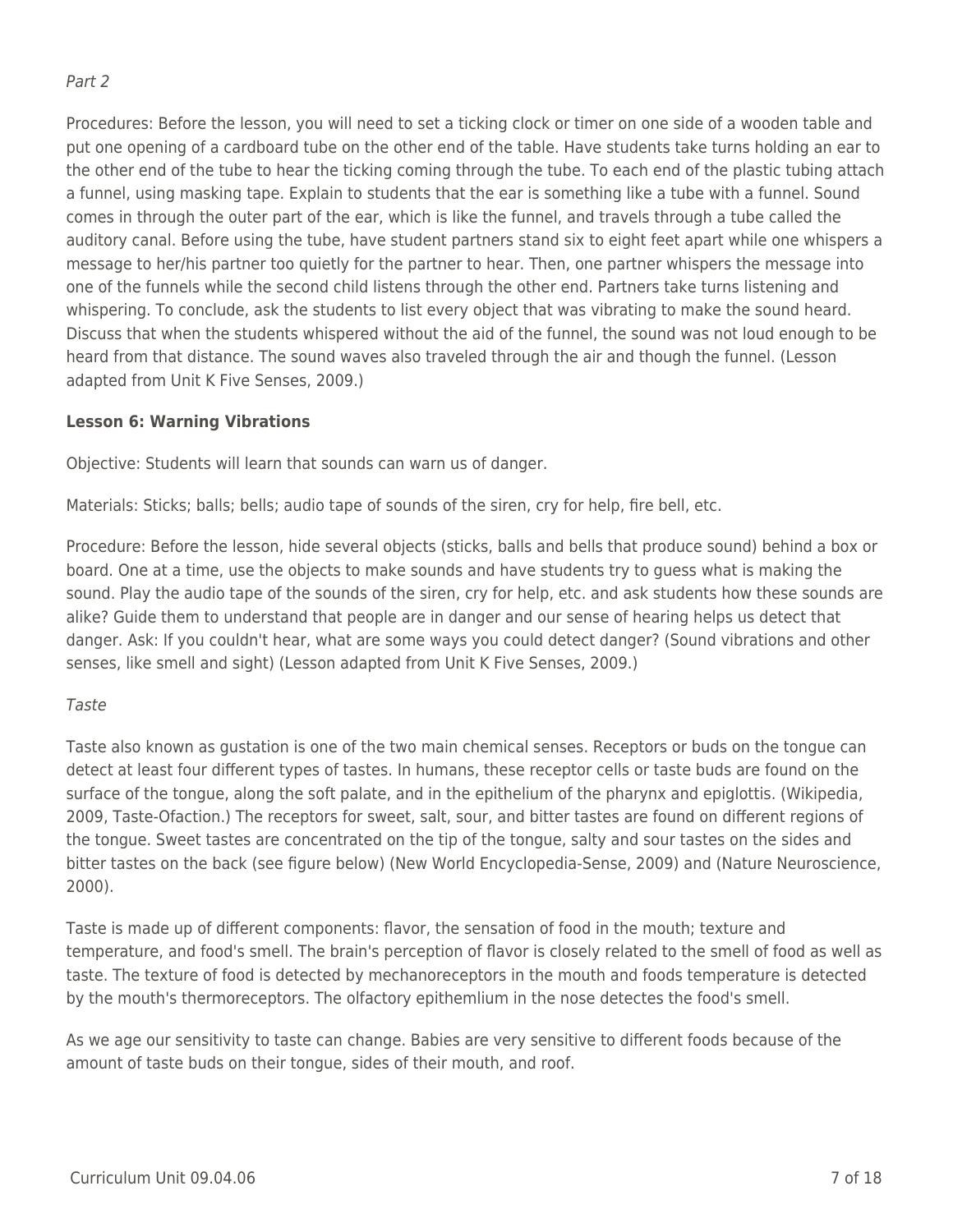### Part 2

Procedures: Before the lesson, you will need to set a ticking clock or timer on one side of a wooden table and put one opening of a cardboard tube on the other end of the table. Have students take turns holding an ear to the other end of the tube to hear the ticking coming through the tube. To each end of the plastic tubing attach a funnel, using masking tape. Explain to students that the ear is something like a tube with a funnel. Sound comes in through the outer part of the ear, which is like the funnel, and travels through a tube called the auditory canal. Before using the tube, have student partners stand six to eight feet apart while one whispers a message to her/his partner too quietly for the partner to hear. Then, one partner whispers the message into one of the funnels while the second child listens through the other end. Partners take turns listening and whispering. To conclude, ask the students to list every object that was vibrating to make the sound heard. Discuss that when the students whispered without the aid of the funnel, the sound was not loud enough to be heard from that distance. The sound waves also traveled through the air and though the funnel. (Lesson adapted from Unit K Five Senses, 2009.)

### **Lesson 6: Warning Vibrations**

Objective: Students will learn that sounds can warn us of danger.

Materials: Sticks; balls; bells; audio tape of sounds of the siren, cry for help, fire bell, etc.

Procedure: Before the lesson, hide several objects (sticks, balls and bells that produce sound) behind a box or board. One at a time, use the objects to make sounds and have students try to guess what is making the sound. Play the audio tape of the sounds of the siren, cry for help, etc. and ask students how these sounds are alike? Guide them to understand that people are in danger and our sense of hearing helps us detect that danger. Ask: If you couldn't hear, what are some ways you could detect danger? (Sound vibrations and other senses, like smell and sight) (Lesson adapted from Unit K Five Senses, 2009.)

### Taste

Taste also known as gustation is one of the two main chemical senses. Receptors or buds on the tongue can detect at least four different types of tastes. In humans, these receptor cells or taste buds are found on the surface of the tongue, along the soft palate, and in the epithelium of the pharynx and epiglottis. (Wikipedia, 2009, Taste-Ofaction.) The receptors for sweet, salt, sour, and bitter tastes are found on different regions of the tongue. Sweet tastes are concentrated on the tip of the tongue, salty and sour tastes on the sides and bitter tastes on the back (see figure below) (New World Encyclopedia-Sense, 2009) and (Nature Neuroscience, 2000).

Taste is made up of different components: flavor, the sensation of food in the mouth; texture and temperature, and food's smell. The brain's perception of flavor is closely related to the smell of food as well as taste. The texture of food is detected by mechanoreceptors in the mouth and foods temperature is detected by the mouth's thermoreceptors. The olfactory epithemlium in the nose detectes the food's smell.

As we age our sensitivity to taste can change. Babies are very sensitive to different foods because of the amount of taste buds on their tongue, sides of their mouth, and roof.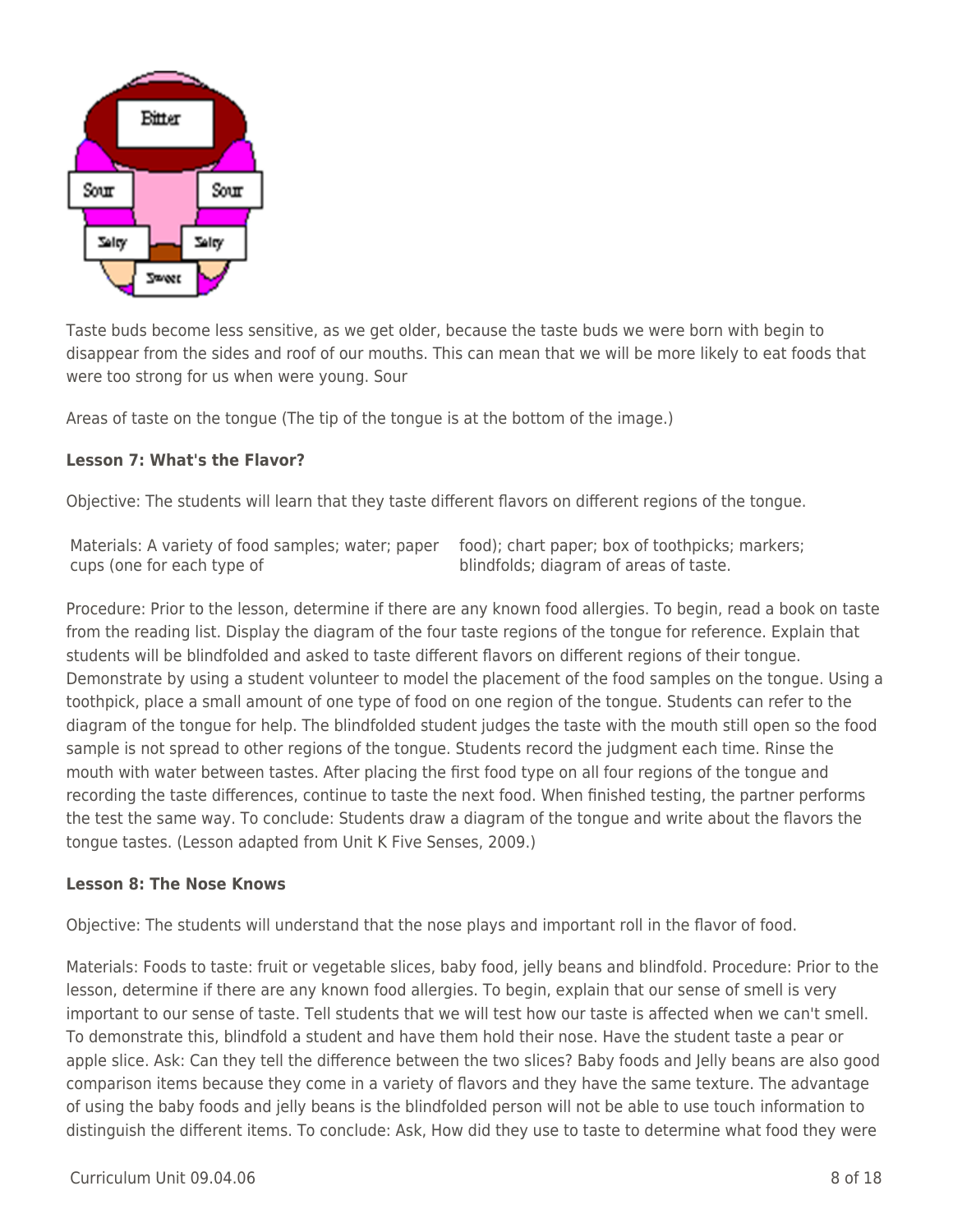

Taste buds become less sensitive, as we get older, because the taste buds we were born with begin to disappear from the sides and roof of our mouths. This can mean that we will be more likely to eat foods that were too strong for us when were young. Sour

Areas of taste on the tongue (The tip of the tongue is at the bottom of the image.)

#### **Lesson 7: What's the Flavor?**

Objective: The students will learn that they taste different flavors on different regions of the tongue.

| Materials: A variety of food samples; water; paper food); chart paper; box of toothpicks; markers; |                                        |
|----------------------------------------------------------------------------------------------------|----------------------------------------|
| cups (one for each type of                                                                         | blindfolds; diagram of areas of taste. |

Procedure: Prior to the lesson, determine if there are any known food allergies. To begin, read a book on taste from the reading list. Display the diagram of the four taste regions of the tongue for reference. Explain that students will be blindfolded and asked to taste different flavors on different regions of their tongue. Demonstrate by using a student volunteer to model the placement of the food samples on the tongue. Using a toothpick, place a small amount of one type of food on one region of the tongue. Students can refer to the diagram of the tongue for help. The blindfolded student judges the taste with the mouth still open so the food sample is not spread to other regions of the tongue. Students record the judgment each time. Rinse the mouth with water between tastes. After placing the first food type on all four regions of the tongue and recording the taste differences, continue to taste the next food. When finished testing, the partner performs the test the same way. To conclude: Students draw a diagram of the tongue and write about the flavors the tongue tastes. (Lesson adapted from Unit K Five Senses, 2009.)

#### **Lesson 8: The Nose Knows**

Objective: The students will understand that the nose plays and important roll in the flavor of food.

Materials: Foods to taste: fruit or vegetable slices, baby food, jelly beans and blindfold. Procedure: Prior to the lesson, determine if there are any known food allergies. To begin, explain that our sense of smell is very important to our sense of taste. Tell students that we will test how our taste is affected when we can't smell. To demonstrate this, blindfold a student and have them hold their nose. Have the student taste a pear or apple slice. Ask: Can they tell the difference between the two slices? Baby foods and Jelly beans are also good comparison items because they come in a variety of flavors and they have the same texture. The advantage of using the baby foods and jelly beans is the blindfolded person will not be able to use touch information to distinguish the different items. To conclude: Ask, How did they use to taste to determine what food they were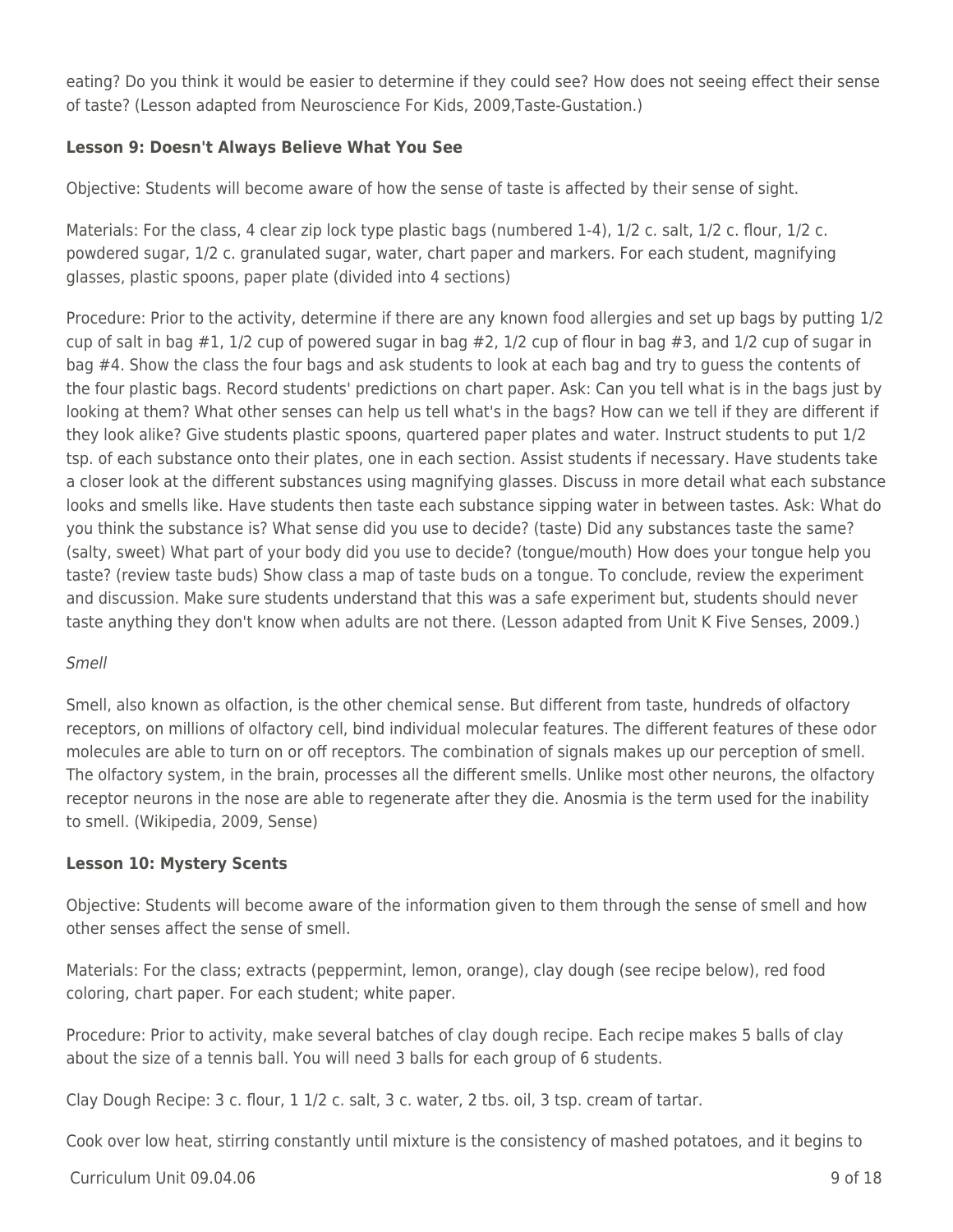eating? Do you think it would be easier to determine if they could see? How does not seeing effect their sense of taste? (Lesson adapted from Neuroscience For Kids, 2009,Taste-Gustation.)

### **Lesson 9: Doesn't Always Believe What You See**

Objective: Students will become aware of how the sense of taste is affected by their sense of sight.

Materials: For the class, 4 clear zip lock type plastic bags (numbered 1-4), 1/2 c. salt, 1/2 c. flour, 1/2 c. powdered sugar, 1/2 c. granulated sugar, water, chart paper and markers. For each student, magnifying glasses, plastic spoons, paper plate (divided into 4 sections)

Procedure: Prior to the activity, determine if there are any known food allergies and set up bags by putting 1/2 cup of salt in bag #1, 1/2 cup of powered sugar in bag #2, 1/2 cup of flour in bag #3, and 1/2 cup of sugar in bag #4. Show the class the four bags and ask students to look at each bag and try to guess the contents of the four plastic bags. Record students' predictions on chart paper. Ask: Can you tell what is in the bags just by looking at them? What other senses can help us tell what's in the bags? How can we tell if they are different if they look alike? Give students plastic spoons, quartered paper plates and water. Instruct students to put 1/2 tsp. of each substance onto their plates, one in each section. Assist students if necessary. Have students take a closer look at the different substances using magnifying glasses. Discuss in more detail what each substance looks and smells like. Have students then taste each substance sipping water in between tastes. Ask: What do you think the substance is? What sense did you use to decide? (taste) Did any substances taste the same? (salty, sweet) What part of your body did you use to decide? (tongue/mouth) How does your tongue help you taste? (review taste buds) Show class a map of taste buds on a tongue. To conclude, review the experiment and discussion. Make sure students understand that this was a safe experiment but, students should never taste anything they don't know when adults are not there. (Lesson adapted from Unit K Five Senses, 2009.)

### Smell

Smell, also known as olfaction, is the other chemical sense. But different from taste, hundreds of olfactory receptors, on millions of olfactory cell, bind individual molecular features. The different features of these odor molecules are able to turn on or off receptors. The combination of signals makes up our perception of smell. The olfactory system, in the brain, processes all the different smells. Unlike most other neurons, the olfactory receptor neurons in the nose are able to regenerate after they die. Anosmia is the term used for the inability to smell. (Wikipedia, 2009, Sense)

### **Lesson 10: Mystery Scents**

Objective: Students will become aware of the information given to them through the sense of smell and how other senses affect the sense of smell.

Materials: For the class; extracts (peppermint, lemon, orange), clay dough (see recipe below), red food coloring, chart paper. For each student; white paper.

Procedure: Prior to activity, make several batches of clay dough recipe. Each recipe makes 5 balls of clay about the size of a tennis ball. You will need 3 balls for each group of 6 students.

Clay Dough Recipe: 3 c. flour, 1 1/2 c. salt, 3 c. water, 2 tbs. oil, 3 tsp. cream of tartar.

Cook over low heat, stirring constantly until mixture is the consistency of mashed potatoes, and it begins to

 $C$ urriculum Unit 09.04.06  $\qquad \qquad$  9 of 18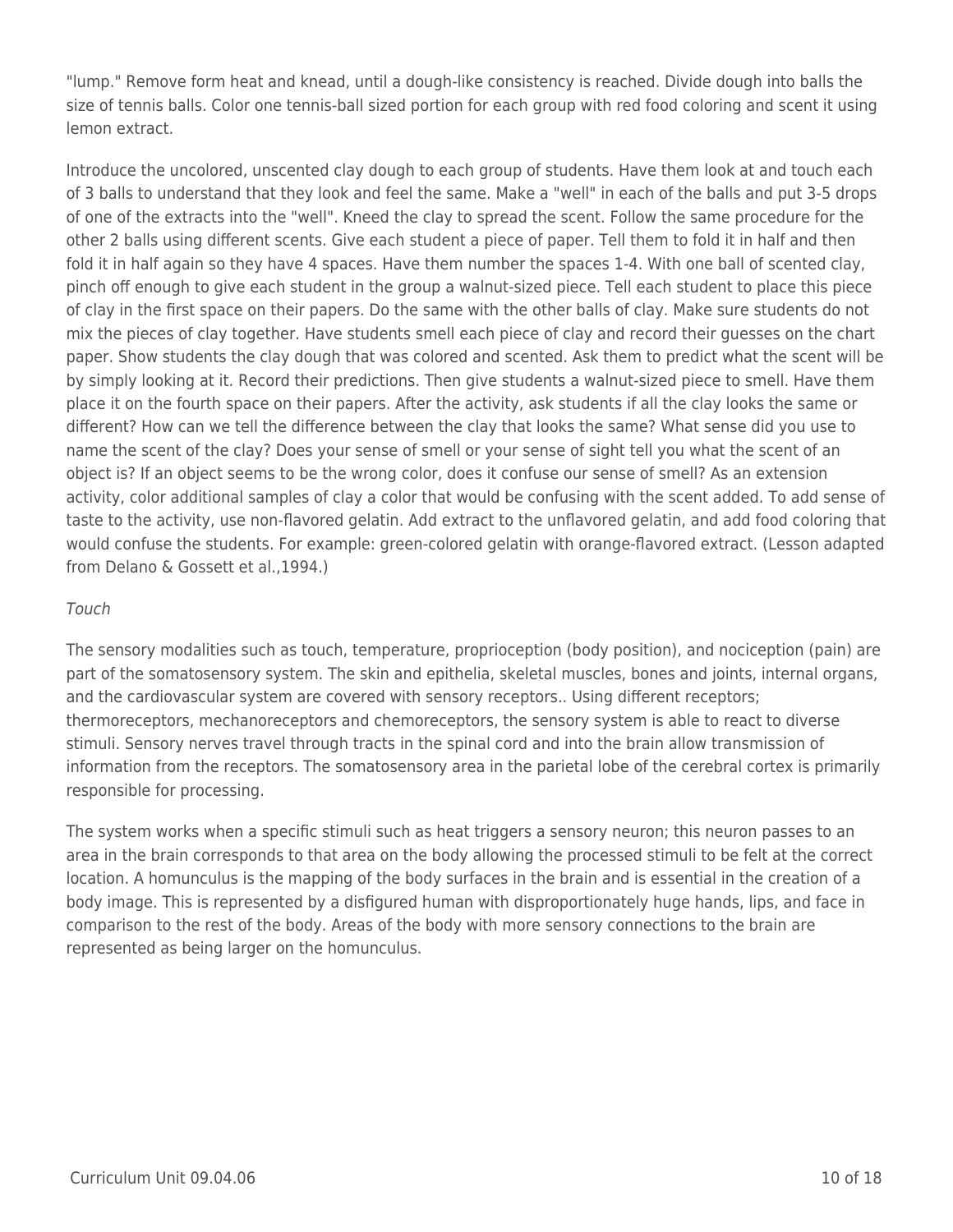"lump." Remove form heat and knead, until a dough-like consistency is reached. Divide dough into balls the size of tennis balls. Color one tennis-ball sized portion for each group with red food coloring and scent it using lemon extract.

Introduce the uncolored, unscented clay dough to each group of students. Have them look at and touch each of 3 balls to understand that they look and feel the same. Make a "well" in each of the balls and put 3-5 drops of one of the extracts into the "well". Kneed the clay to spread the scent. Follow the same procedure for the other 2 balls using different scents. Give each student a piece of paper. Tell them to fold it in half and then fold it in half again so they have 4 spaces. Have them number the spaces 1-4. With one ball of scented clay, pinch off enough to give each student in the group a walnut-sized piece. Tell each student to place this piece of clay in the first space on their papers. Do the same with the other balls of clay. Make sure students do not mix the pieces of clay together. Have students smell each piece of clay and record their guesses on the chart paper. Show students the clay dough that was colored and scented. Ask them to predict what the scent will be by simply looking at it. Record their predictions. Then give students a walnut-sized piece to smell. Have them place it on the fourth space on their papers. After the activity, ask students if all the clay looks the same or different? How can we tell the difference between the clay that looks the same? What sense did you use to name the scent of the clay? Does your sense of smell or your sense of sight tell you what the scent of an object is? If an object seems to be the wrong color, does it confuse our sense of smell? As an extension activity, color additional samples of clay a color that would be confusing with the scent added. To add sense of taste to the activity, use non-flavored gelatin. Add extract to the unflavored gelatin, and add food coloring that would confuse the students. For example: green-colored gelatin with orange-flavored extract. (Lesson adapted from Delano & Gossett et al.,1994.)

#### Touch

The sensory modalities such as touch, temperature, proprioception (body position), and nociception (pain) are part of the somatosensory system. The skin and epithelia, skeletal muscles, bones and joints, internal organs, and the cardiovascular system are covered with sensory receptors.. Using different receptors; thermoreceptors, mechanoreceptors and chemoreceptors, the sensory system is able to react to diverse stimuli. Sensory nerves travel through tracts in the spinal cord and into the brain allow transmission of information from the receptors. The somatosensory area in the parietal lobe of the cerebral cortex is primarily responsible for processing.

The system works when a specific stimuli such as heat triggers a sensory neuron; this neuron passes to an area in the brain corresponds to that area on the body allowing the processed stimuli to be felt at the correct location. A homunculus is the mapping of the body surfaces in the brain and is essential in the creation of a body image. This is represented by a disfigured human with disproportionately huge hands, lips, and face in comparison to the rest of the body. Areas of the body with more sensory connections to the brain are represented as being larger on the homunculus.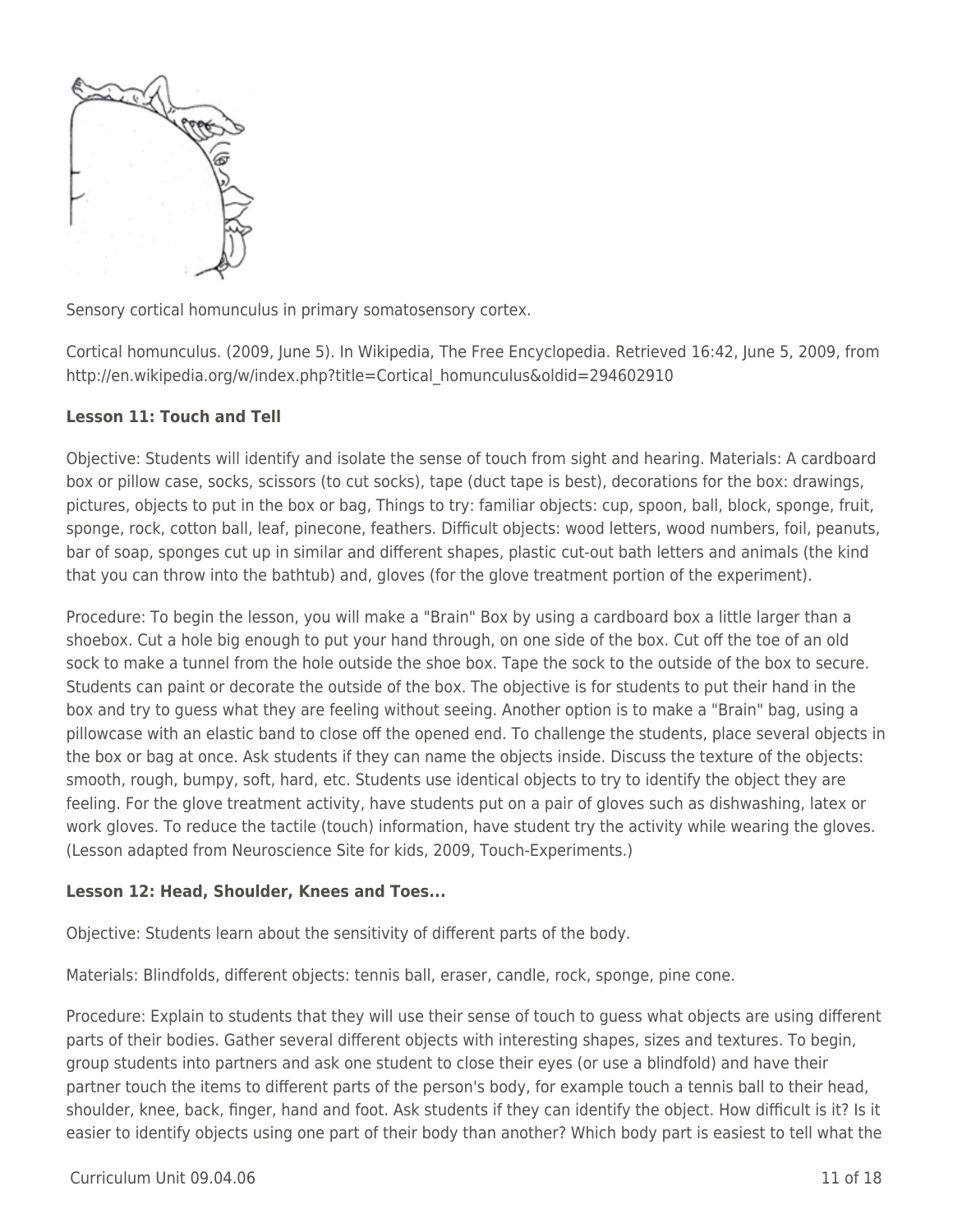

Sensory cortical homunculus in primary somatosensory cortex.

Cortical homunculus. (2009, June 5). In Wikipedia, The Free Encyclopedia. Retrieved 16:42, June 5, 2009, from http://en.wikipedia.org/w/index.php?title=Cortical\_homunculus&oldid=294602910

### **Lesson 11: Touch and Tell**

Objective: Students will identify and isolate the sense of touch from sight and hearing. Materials: A cardboard box or pillow case, socks, scissors (to cut socks), tape (duct tape is best), decorations for the box: drawings, pictures, objects to put in the box or bag, Things to try: familiar objects: cup, spoon, ball, block, sponge, fruit, sponge, rock, cotton ball, leaf, pinecone, feathers. Difficult objects: wood letters, wood numbers, foil, peanuts, bar of soap, sponges cut up in similar and different shapes, plastic cut-out bath letters and animals (the kind that you can throw into the bathtub) and, gloves (for the glove treatment portion of the experiment).

Procedure: To begin the lesson, you will make a "Brain" Box by using a cardboard box a little larger than a shoebox. Cut a hole big enough to put your hand through, on one side of the box. Cut off the toe of an old sock to make a tunnel from the hole outside the shoe box. Tape the sock to the outside of the box to secure. Students can paint or decorate the outside of the box. The objective is for students to put their hand in the box and try to guess what they are feeling without seeing. Another option is to make a "Brain" bag, using a pillowcase with an elastic band to close off the opened end. To challenge the students, place several objects in the box or bag at once. Ask students if they can name the objects inside. Discuss the texture of the objects: smooth, rough, bumpy, soft, hard, etc. Students use identical objects to try to identify the object they are feeling. For the glove treatment activity, have students put on a pair of gloves such as dishwashing, latex or work gloves. To reduce the tactile (touch) information, have student try the activity while wearing the gloves. (Lesson adapted from Neuroscience Site for kids, 2009, Touch-Experiments.)

### **Lesson 12: Head, Shoulder, Knees and Toes...**

Objective: Students learn about the sensitivity of different parts of the body.

Materials: Blindfolds, different objects: tennis ball, eraser, candle, rock, sponge, pine cone.

Procedure: Explain to students that they will use their sense of touch to guess what objects are using different parts of their bodies. Gather several different objects with interesting shapes, sizes and textures. To begin, group students into partners and ask one student to close their eyes (or use a blindfold) and have their partner touch the items to different parts of the person's body, for example touch a tennis ball to their head, shoulder, knee, back, finger, hand and foot. Ask students if they can identify the object. How difficult is it? Is it easier to identify objects using one part of their body than another? Which body part is easiest to tell what the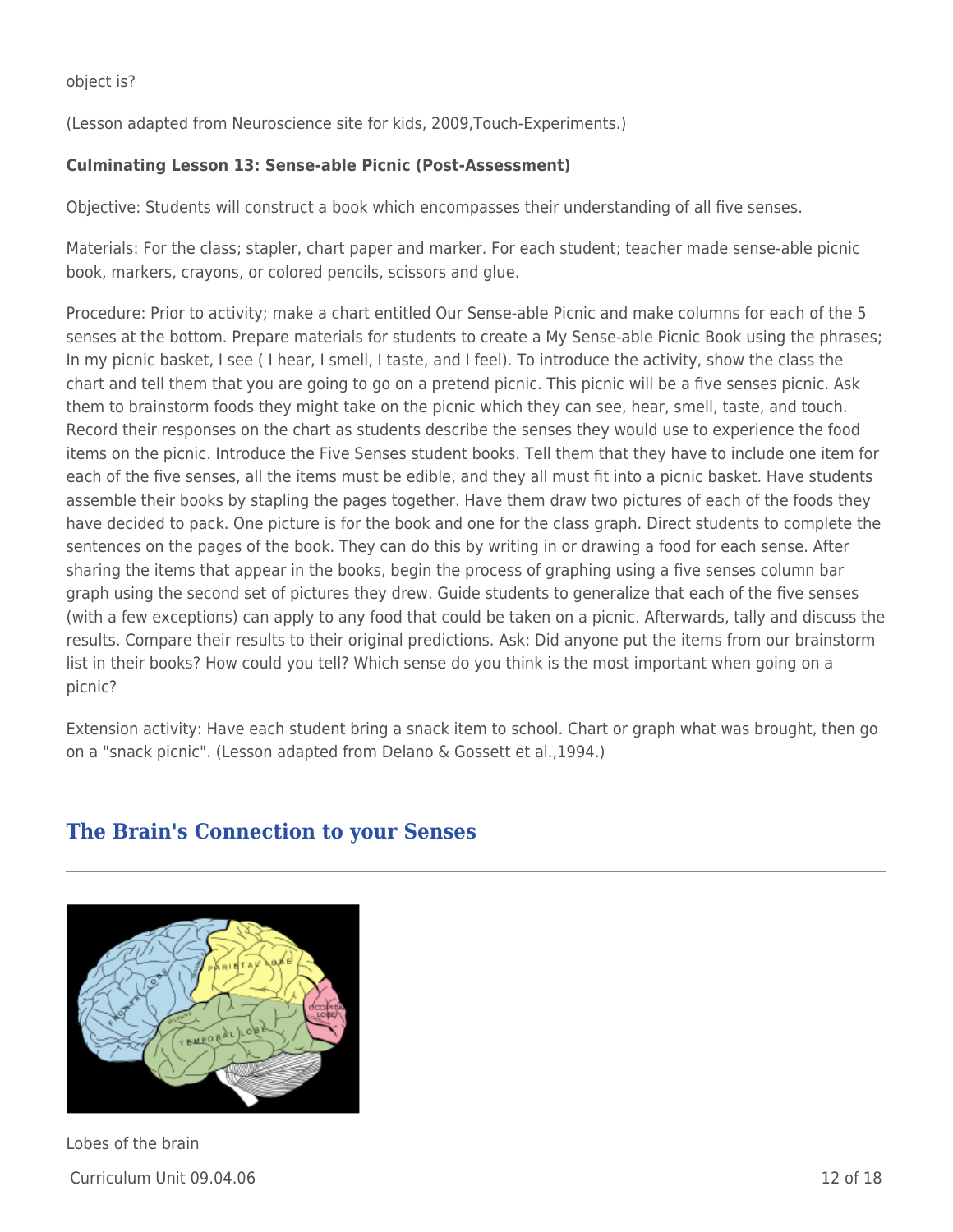object is?

(Lesson adapted from Neuroscience site for kids, 2009,Touch-Experiments.)

### **Culminating Lesson 13: Sense-able Picnic (Post-Assessment)**

Objective: Students will construct a book which encompasses their understanding of all five senses.

Materials: For the class; stapler, chart paper and marker. For each student; teacher made sense-able picnic book, markers, crayons, or colored pencils, scissors and glue.

Procedure: Prior to activity; make a chart entitled Our Sense-able Picnic and make columns for each of the 5 senses at the bottom. Prepare materials for students to create a My Sense-able Picnic Book using the phrases; In my picnic basket, I see ( I hear, I smell, I taste, and I feel). To introduce the activity, show the class the chart and tell them that you are going to go on a pretend picnic. This picnic will be a five senses picnic. Ask them to brainstorm foods they might take on the picnic which they can see, hear, smell, taste, and touch. Record their responses on the chart as students describe the senses they would use to experience the food items on the picnic. Introduce the Five Senses student books. Tell them that they have to include one item for each of the five senses, all the items must be edible, and they all must fit into a picnic basket. Have students assemble their books by stapling the pages together. Have them draw two pictures of each of the foods they have decided to pack. One picture is for the book and one for the class graph. Direct students to complete the sentences on the pages of the book. They can do this by writing in or drawing a food for each sense. After sharing the items that appear in the books, begin the process of graphing using a five senses column bar graph using the second set of pictures they drew. Guide students to generalize that each of the five senses (with a few exceptions) can apply to any food that could be taken on a picnic. Afterwards, tally and discuss the results. Compare their results to their original predictions. Ask: Did anyone put the items from our brainstorm list in their books? How could you tell? Which sense do you think is the most important when going on a picnic?

Extension activity: Have each student bring a snack item to school. Chart or graph what was brought, then go on a "snack picnic". (Lesson adapted from Delano & Gossett et al.,1994.)

# **The Brain's Connection to your Senses**

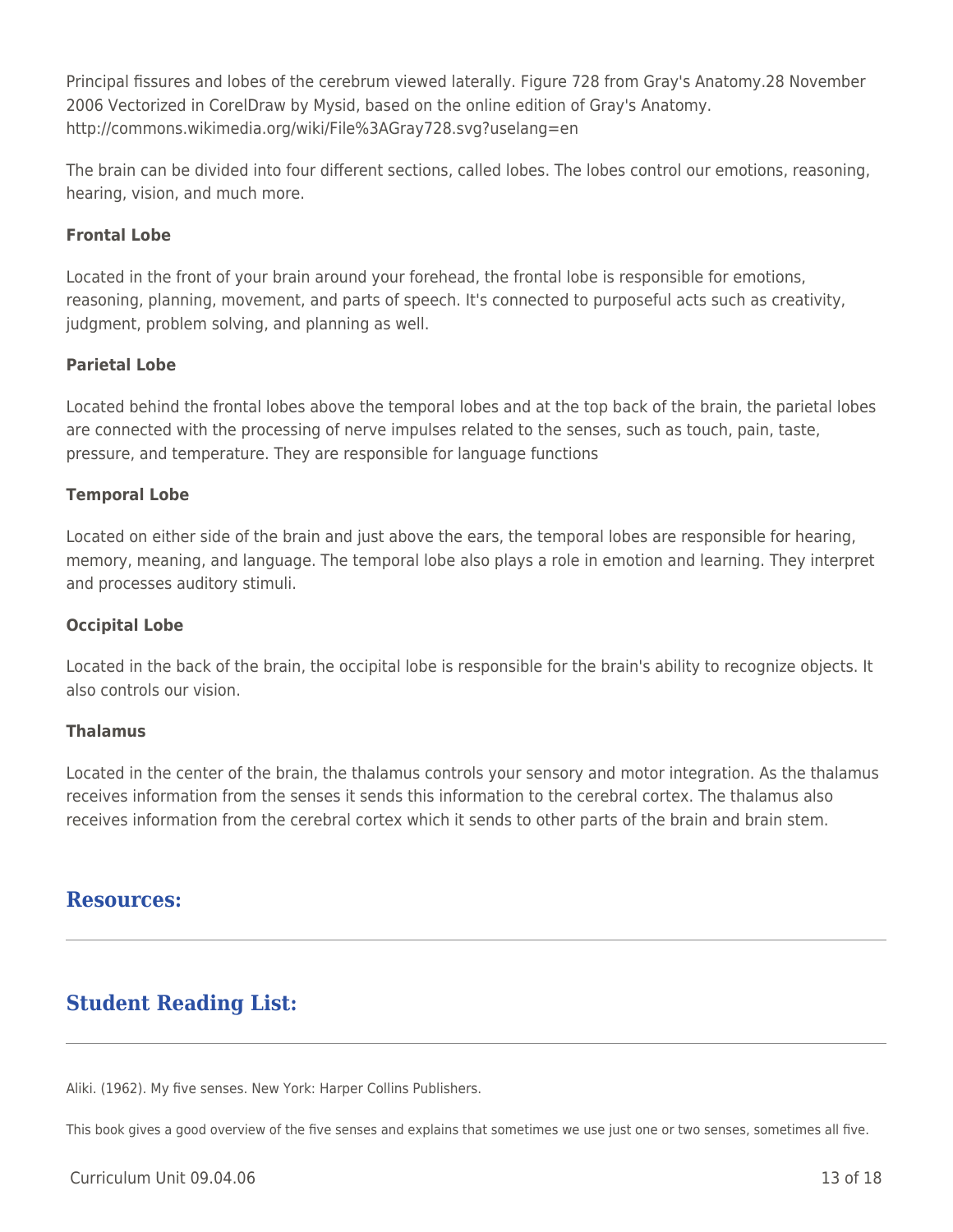Principal fissures and lobes of the cerebrum viewed laterally. Figure 728 from Gray's Anatomy.28 November 2006 Vectorized in CorelDraw by Mysid, based on the online edition of Gray's Anatomy. http://commons.wikimedia.org/wiki/File%3AGray728.svg?uselang=en

The brain can be divided into four different sections, called lobes. The lobes control our emotions, reasoning, hearing, vision, and much more.

### **Frontal Lobe**

Located in the front of your brain around your forehead, the frontal lobe is responsible for emotions, reasoning, planning, movement, and parts of speech. It's connected to purposeful acts such as creativity, judgment, problem solving, and planning as well.

### **Parietal Lobe**

Located behind the frontal lobes above the temporal lobes and at the top back of the brain, the parietal lobes are connected with the processing of nerve impulses related to the senses, such as touch, pain, taste, pressure, and temperature. They are responsible for language functions

### **Temporal Lobe**

Located on either side of the brain and just above the ears, the temporal lobes are responsible for hearing, memory, meaning, and language. The temporal lobe also plays a role in emotion and learning. They interpret and processes auditory stimuli.

### **Occipital Lobe**

Located in the back of the brain, the occipital lobe is responsible for the brain's ability to recognize objects. It also controls our vision.

### **Thalamus**

Located in the center of the brain, the thalamus controls your sensory and motor integration. As the thalamus receives information from the senses it sends this information to the cerebral cortex. The thalamus also receives information from the cerebral cortex which it sends to other parts of the brain and brain stem.

## **Resources:**

# **Student Reading List:**

Aliki. (1962). My five senses. New York: Harper Collins Publishers.

This book gives a good overview of the five senses and explains that sometimes we use just one or two senses, sometimes all five.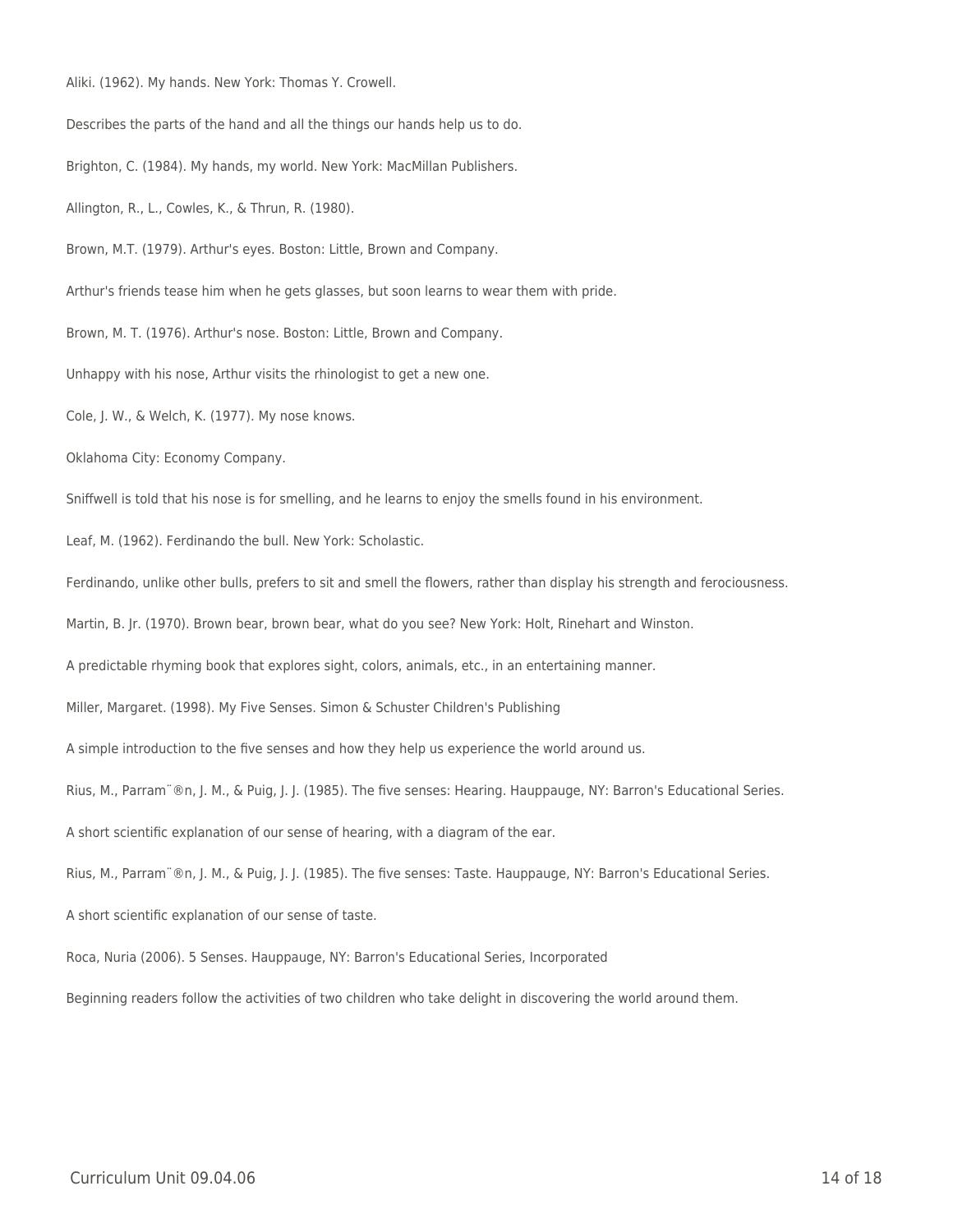Aliki. (1962). My hands. New York: Thomas Y. Crowell.

Describes the parts of the hand and all the things our hands help us to do.

Brighton, C. (1984). My hands, my world. New York: MacMillan Publishers.

Allington, R., L., Cowles, K., & Thrun, R. (1980).

Brown, M.T. (1979). Arthur's eyes. Boston: Little, Brown and Company.

Arthur's friends tease him when he gets glasses, but soon learns to wear them with pride.

Brown, M. T. (1976). Arthur's nose. Boston: Little, Brown and Company.

Unhappy with his nose, Arthur visits the rhinologist to get a new one.

Cole, J. W., & Welch, K. (1977). My nose knows.

Oklahoma City: Economy Company.

Sniffwell is told that his nose is for smelling, and he learns to enjoy the smells found in his environment.

Leaf, M. (1962). Ferdinando the bull. New York: Scholastic.

Ferdinando, unlike other bulls, prefers to sit and smell the flowers, rather than display his strength and ferociousness.

Martin, B. Jr. (1970). Brown bear, brown bear, what do you see? New York: Holt, Rinehart and Winston.

A predictable rhyming book that explores sight, colors, animals, etc., in an entertaining manner.

Miller, Margaret. (1998). My Five Senses. Simon & Schuster Children's Publishing

A simple introduction to the five senses and how they help us experience the world around us.

Rius, M., Parram¨®n, J. M., & Puig, J. J. (1985). The five senses: Hearing. Hauppauge, NY: Barron's Educational Series.

A short scientific explanation of our sense of hearing, with a diagram of the ear.

Rius, M., Parram¨®n, J. M., & Puig, J. J. (1985). The five senses: Taste. Hauppauge, NY: Barron's Educational Series.

A short scientific explanation of our sense of taste.

Roca, Nuria (2006). 5 Senses. Hauppauge, NY: Barron's Educational Series, Incorporated

Beginning readers follow the activities of two children who take delight in discovering the world around them.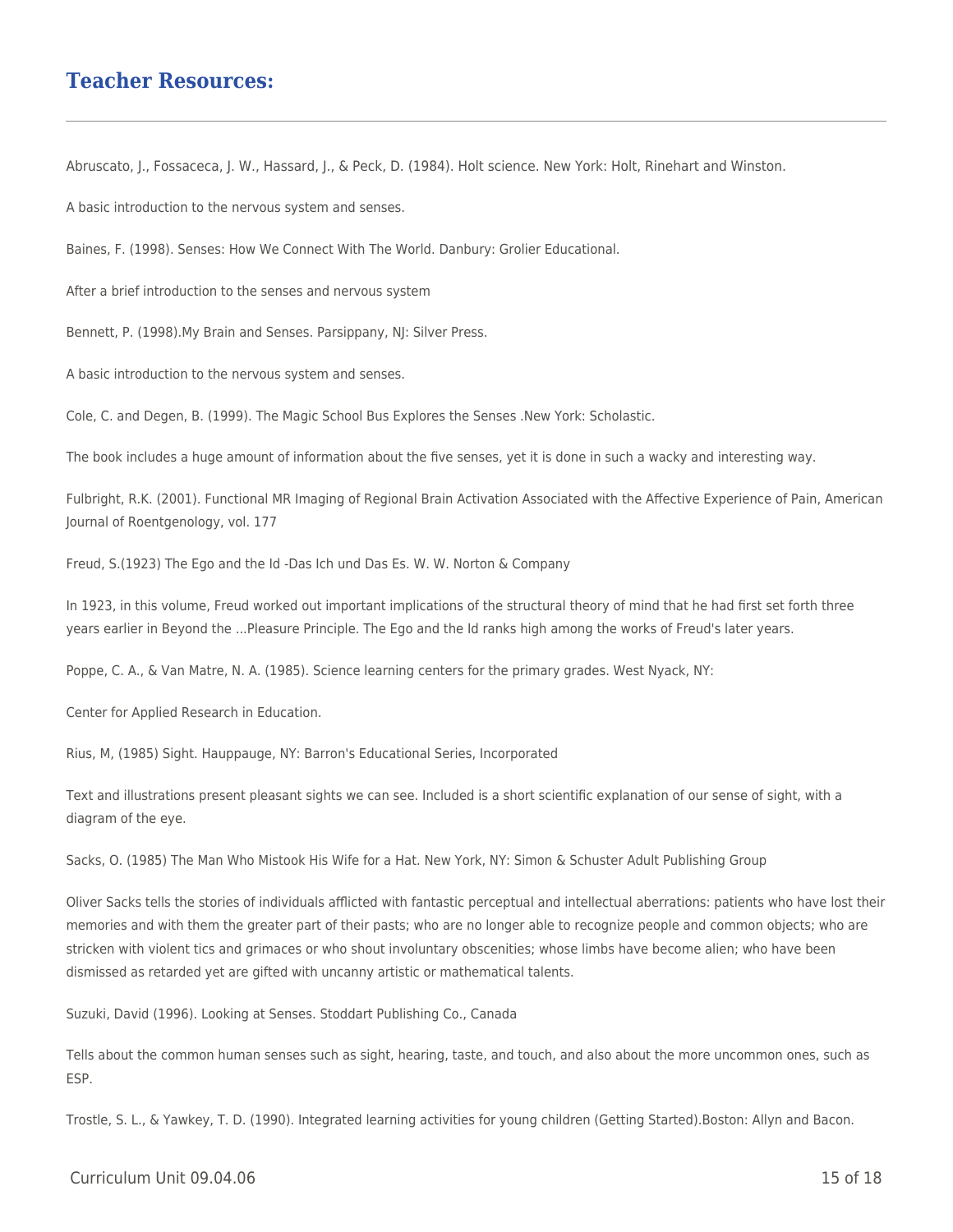## **Teacher Resources:**

Abruscato, J., Fossaceca, J. W., Hassard, J., & Peck, D. (1984). Holt science. New York: Holt, Rinehart and Winston.

A basic introduction to the nervous system and senses.

Baines, F. (1998). Senses: How We Connect With The World. Danbury: Grolier Educational.

After a brief introduction to the senses and nervous system

Bennett, P. (1998).My Brain and Senses. Parsippany, NJ: Silver Press.

A basic introduction to the nervous system and senses.

Cole, C. and Degen, B. (1999). The Magic School Bus Explores the Senses .New York: Scholastic.

The book includes a huge amount of information about the five senses, yet it is done in such a wacky and interesting way.

Fulbright, R.K. (2001). Functional MR Imaging of Regional Brain Activation Associated with the Affective Experience of Pain, American Journal of Roentgenology, vol. 177

Freud, S.(1923) The Ego and the Id -Das Ich und Das Es. W. W. Norton & Company

In 1923, in this volume, Freud worked out important implications of the structural theory of mind that he had first set forth three years earlier in Beyond the ...Pleasure Principle. The Ego and the Id ranks high among the works of Freud's later years.

Poppe, C. A., & Van Matre, N. A. (1985). Science learning centers for the primary grades. West Nyack, NY:

Center for Applied Research in Education.

Rius, M, (1985) Sight. Hauppauge, NY: Barron's Educational Series, Incorporated

Text and illustrations present pleasant sights we can see. Included is a short scientific explanation of our sense of sight, with a diagram of the eye.

Sacks, O. (1985) The Man Who Mistook His Wife for a Hat. New York, NY: Simon & Schuster Adult Publishing Group

Oliver Sacks tells the stories of individuals afflicted with fantastic perceptual and intellectual aberrations: patients who have lost their memories and with them the greater part of their pasts; who are no longer able to recognize people and common objects; who are stricken with violent tics and grimaces or who shout involuntary obscenities; whose limbs have become alien; who have been dismissed as retarded yet are gifted with uncanny artistic or mathematical talents.

Suzuki, David (1996). Looking at Senses. Stoddart Publishing Co., Canada

Tells about the common human senses such as sight, hearing, taste, and touch, and also about the more uncommon ones, such as ESP.

Trostle, S. L., & Yawkey, T. D. (1990). Integrated learning activities for young children (Getting Started).Boston: Allyn and Bacon.

#### $C$ urriculum Unit 09.04.06 15 of 18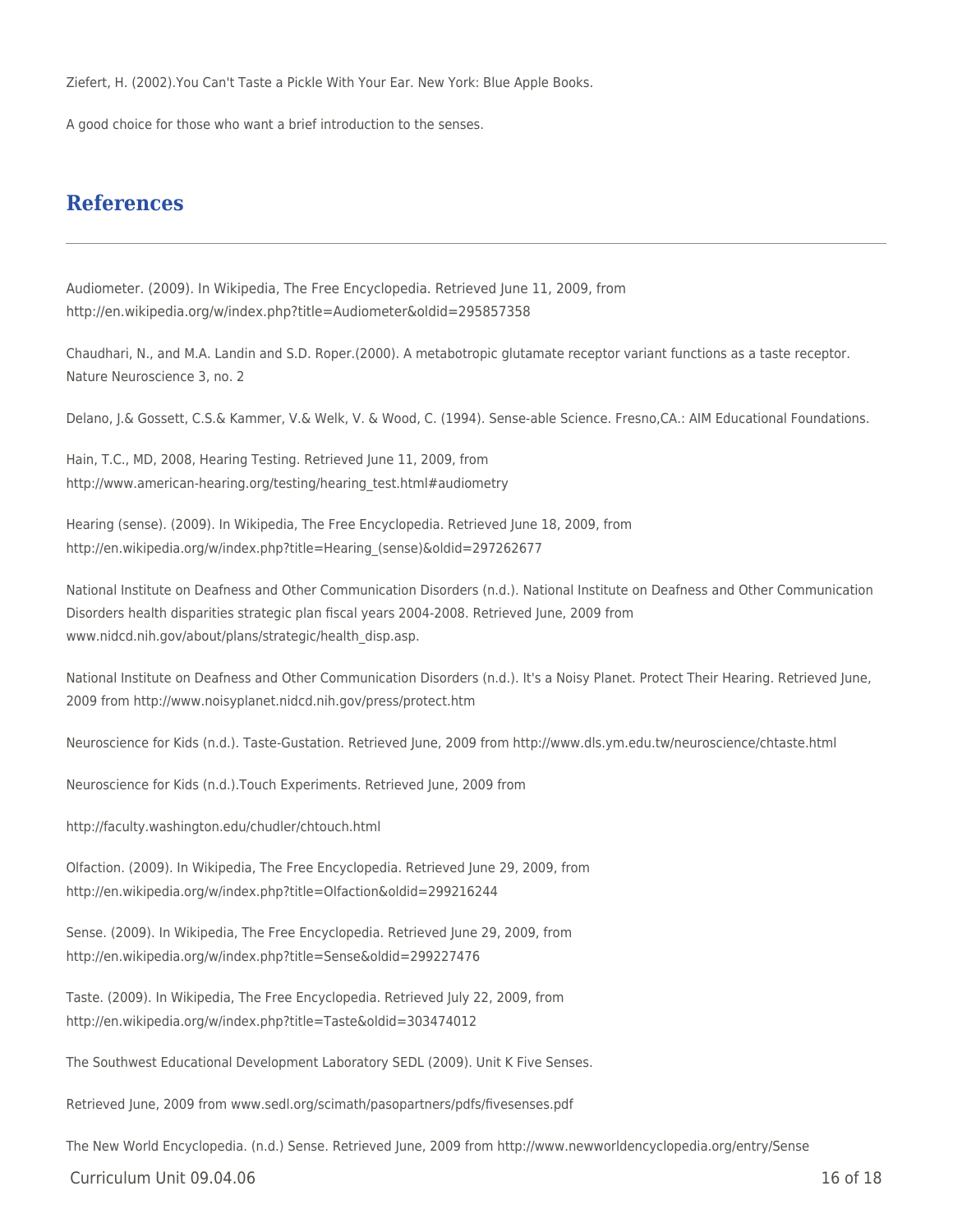Ziefert, H. (2002).You Can't Taste a Pickle With Your Ear. New York: Blue Apple Books.

A good choice for those who want a brief introduction to the senses.

## **References**

Audiometer. (2009). In Wikipedia, The Free Encyclopedia. Retrieved June 11, 2009, from http://en.wikipedia.org/w/index.php?title=Audiometer&oldid=295857358

Chaudhari, N., and M.A. Landin and S.D. Roper.(2000). A metabotropic glutamate receptor variant functions as a taste receptor. Nature Neuroscience 3, no. 2

Delano, J.& Gossett, C.S.& Kammer, V.& Welk, V. & Wood, C. (1994). Sense-able Science. Fresno,CA.: AIM Educational Foundations.

Hain, T.C., MD, 2008, Hearing Testing. Retrieved June 11, 2009, from http://www.american-hearing.org/testing/hearing\_test.html#audiometry

Hearing (sense). (2009). In Wikipedia, The Free Encyclopedia. Retrieved June 18, 2009, from http://en.wikipedia.org/w/index.php?title=Hearing\_(sense)&oldid=297262677

National Institute on Deafness and Other Communication Disorders (n.d.). National Institute on Deafness and Other Communication Disorders health disparities strategic plan fiscal years 2004-2008. Retrieved June, 2009 from www.nidcd.nih.gov/about/plans/strategic/health\_disp.asp.

National Institute on Deafness and Other Communication Disorders (n.d.). It's a Noisy Planet. Protect Their Hearing. Retrieved June, 2009 from http://www.noisyplanet.nidcd.nih.gov/press/protect.htm

Neuroscience for Kids (n.d.). Taste-Gustation. Retrieved June, 2009 from http://www.dls.ym.edu.tw/neuroscience/chtaste.html

Neuroscience for Kids (n.d.).Touch Experiments. Retrieved June, 2009 from

http://faculty.washington.edu/chudler/chtouch.html

Olfaction. (2009). In Wikipedia, The Free Encyclopedia. Retrieved June 29, 2009, from http://en.wikipedia.org/w/index.php?title=Olfaction&oldid=299216244

Sense. (2009). In Wikipedia, The Free Encyclopedia. Retrieved June 29, 2009, from http://en.wikipedia.org/w/index.php?title=Sense&oldid=299227476

Taste. (2009). In Wikipedia, The Free Encyclopedia. Retrieved July 22, 2009, from http://en.wikipedia.org/w/index.php?title=Taste&oldid=303474012

The Southwest Educational Development Laboratory SEDL (2009). Unit K Five Senses.

Retrieved June, 2009 from www.sedl.org/scimath/pasopartners/pdfs/fivesenses.pdf

The New World Encyclopedia. (n.d.) Sense. Retrieved June, 2009 from http://www.newworldencyclopedia.org/entry/Sense

 $C$ urriculum Unit 09.04.06 16 of 18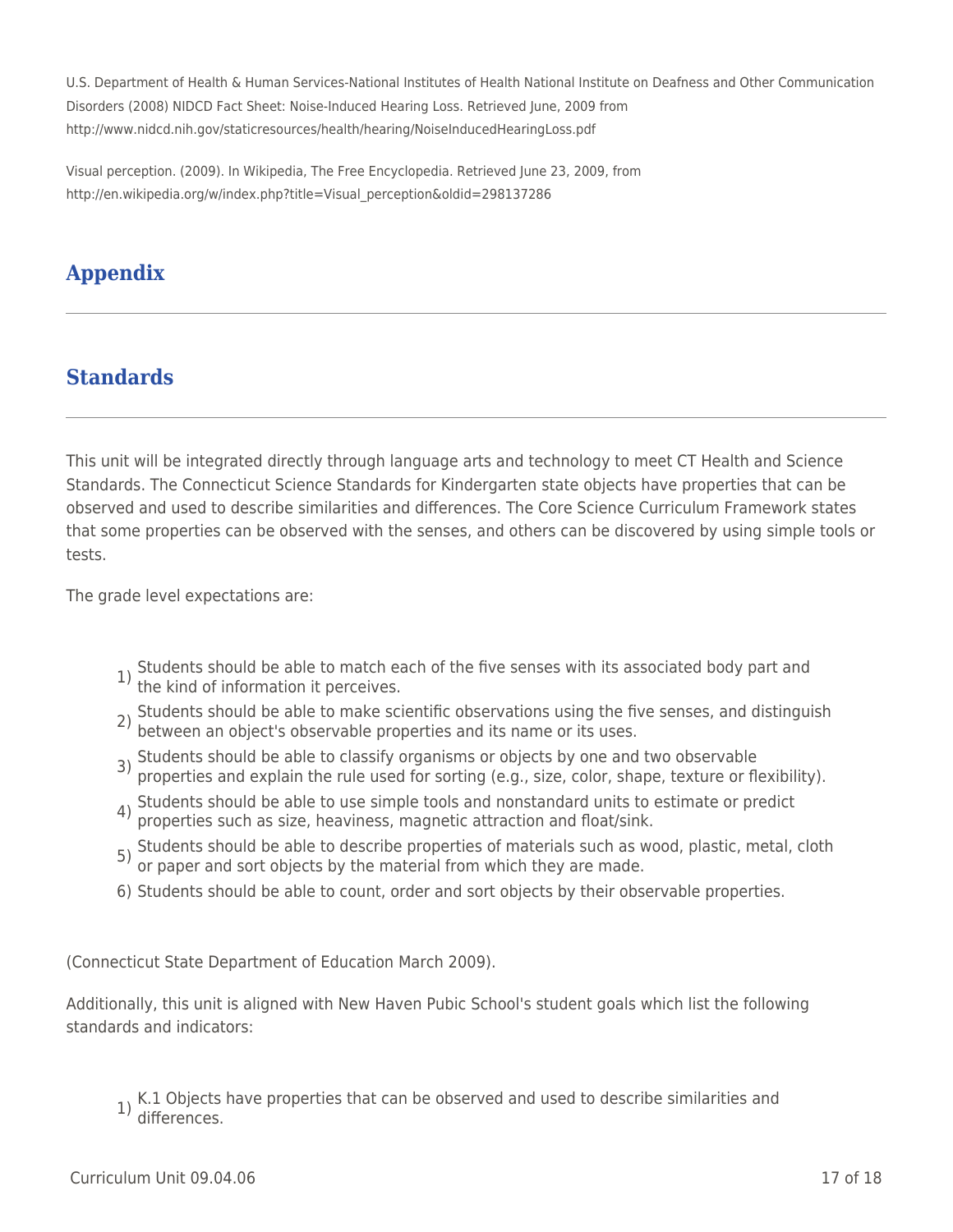U.S. Department of Health & Human Services-National Institutes of Health National Institute on Deafness and Other Communication Disorders (2008) NIDCD Fact Sheet: Noise-Induced Hearing Loss. Retrieved June, 2009 from http://www.nidcd.nih.gov/staticresources/health/hearing/NoiseInducedHearingLoss.pdf

Visual perception. (2009). In Wikipedia, The Free Encyclopedia. Retrieved June 23, 2009, from http://en.wikipedia.org/w/index.php?title=Visual\_perception&oldid=298137286

# **Appendix**

# **Standards**

This unit will be integrated directly through language arts and technology to meet CT Health and Science Standards. The Connecticut Science Standards for Kindergarten state objects have properties that can be observed and used to describe similarities and differences. The Core Science Curriculum Framework states that some properties can be observed with the senses, and others can be discovered by using simple tools or tests.

The grade level expectations are:

- 1) Students should be able to match each of the five senses with its associated body part and the kind of information it perceives.
- 2) Students should be able to make scientific observations using the five senses, and distinguish between an object's observable properties and its name or its uses.
- 3) Students should be able to classify organisms or objects by one and two observable properties and explain the rule used for sorting (e.g., size, color, shape, texture or flexibility).
- 4) Students should be able to use simple tools and nonstandard units to estimate or predict properties such as size, heaviness, magnetic attraction and float/sink.
- 5) Students should be able to describe properties of materials such as wood, plastic, metal, cloth or paper and sort objects by the material from which they are made.
- 6) Students should be able to count, order and sort objects by their observable properties.

(Connecticut State Department of Education March 2009).

Additionally, this unit is aligned with New Haven Pubic School's student goals which list the following standards and indicators:

1) K.1 Objects have properties that can be observed and used to describe similarities and differences.